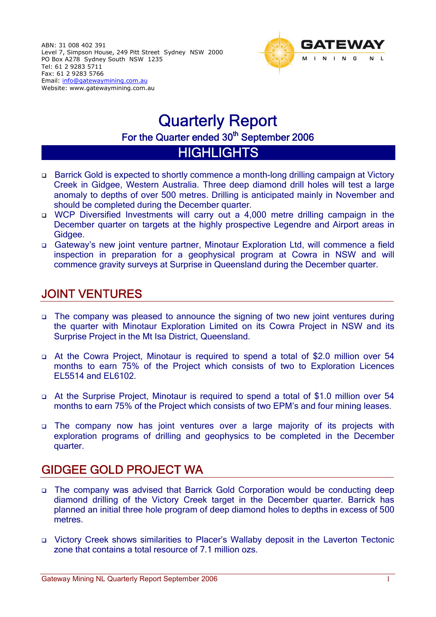

# Quarterly Report For the Quarter ended 30<sup>th</sup> September 2006

## **HIGHLIGHTS**

- Barrick Gold is expected to shortly commence a month-long drilling campaign at Victory Creek in Gidgee, Western Australia. Three deep diamond drill holes will test a large anomaly to depths of over 500 metres. Drilling is anticipated mainly in November and should be completed during the December quarter.
- □ WCP Diversified Investments will carry out a 4,000 metre drilling campaign in the December quarter on targets at the highly prospective Legendre and Airport areas in Gidgee.
- Gateway's new joint venture partner, Minotaur Exploration Ltd, will commence a field inspection in preparation for a geophysical program at Cowra in NSW and will commence gravity surveys at Surprise in Queensland during the December quarter.

## JOINT VENTURES

- The company was pleased to announce the signing of two new joint ventures during the quarter with Minotaur Exploration Limited on its Cowra Project in NSW and its Surprise Project in the Mt Isa District, Queensland.
- At the Cowra Project, Minotaur is required to spend a total of \$2.0 million over 54 months to earn 75% of the Project which consists of two to Exploration Licences EL5514 and EL6102.
- At the Surprise Project, Minotaur is required to spend a total of \$1.0 million over 54 months to earn 75% of the Project which consists of two EPM's and four mining leases.
- The company now has joint ventures over a large majority of its projects with exploration programs of drilling and geophysics to be completed in the December quarter.

## GIDGEE GOLD PROJECT WA

- The company was advised that Barrick Gold Corporation would be conducting deep diamond drilling of the Victory Creek target in the December quarter. Barrick has planned an initial three hole program of deep diamond holes to depths in excess of 500 metres.
- Victory Creek shows similarities to Placer's Wallaby deposit in the Laverton Tectonic zone that contains a total resource of 7.1 million ozs.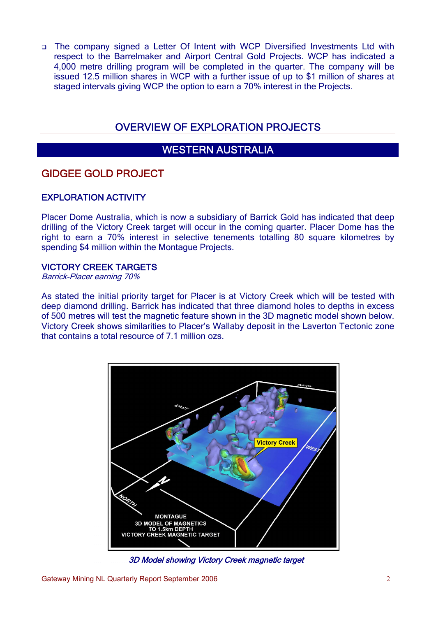The company signed a Letter Of Intent with WCP Diversified Investments Ltd with respect to the Barrelmaker and Airport Central Gold Projects. WCP has indicated a 4,000 metre drilling program will be completed in the quarter. The company will be issued 12.5 million shares in WCP with a further issue of up to \$1 million of shares at staged intervals giving WCP the option to earn a 70% interest in the Projects.

## OVERVIEW OF EXPLORATION PROJECTS

## WESTERN AUSTRALIA

### GIDGEE GOLD PROJECT

#### EXPLORATION ACTIVITY

Placer Dome Australia, which is now a subsidiary of Barrick Gold has indicated that deep drilling of the Victory Creek target will occur in the coming quarter. Placer Dome has the right to earn a 70% interest in selective tenements totalling 80 square kilometres by spending \$4 million within the Montague Projects.

#### VICTORY CREEK TARGETS

Barrick-Placer earning 70%

As stated the initial priority target for Placer is at Victory Creek which will be tested with deep diamond drilling. Barrick has indicated that three diamond holes to depths in excess of 500 metres will test the magnetic feature shown in the 3D magnetic model shown below. Victory Creek shows similarities to Placer's Wallaby deposit in the Laverton Tectonic zone that contains a total resource of 7.1 million ozs.



3D Model showing Victory Creek magnetic target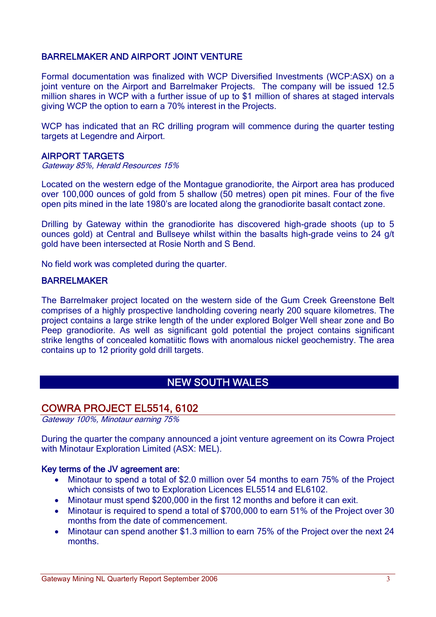#### BARRELMAKER AND AIRPORT JOINT VENTURE

Formal documentation was finalized with WCP Diversified Investments (WCP:ASX) on a joint venture on the Airport and Barrelmaker Projects. The company will be issued 12.5 million shares in WCP with a further issue of up to \$1 million of shares at staged intervals giving WCP the option to earn a 70% interest in the Projects.

WCP has indicated that an RC drilling program will commence during the quarter testing targets at Legendre and Airport.

#### AIRPORT TARGETS

Gateway 85%, Herald Resources 15%

Located on the western edge of the Montague granodiorite, the Airport area has produced over 100,000 ounces of gold from 5 shallow (50 metres) open pit mines. Four of the five open pits mined in the late 1980's are located along the granodiorite basalt contact zone.

Drilling by Gateway within the granodiorite has discovered high-grade shoots (up to 5 ounces gold) at Central and Bullseye whilst within the basalts high-grade veins to 24 g/t gold have been intersected at Rosie North and S Bend.

No field work was completed during the quarter.

#### BARRELMAKER

The Barrelmaker project located on the western side of the Gum Creek Greenstone Belt comprises of a highly prospective landholding covering nearly 200 square kilometres. The project contains a large strike length of the under explored Bolger Well shear zone and Bo Peep granodiorite. As well as significant gold potential the project contains significant strike lengths of concealed komatiitic flows with anomalous nickel geochemistry. The area contains up to 12 priority gold drill targets.

## NEW SOUTH WALES

#### COWRA PROJECT EL5514, 6102

Gateway 100%, Minotaur earning 75%

During the quarter the company announced a joint venture agreement on its Cowra Project with Minotaur Exploration Limited (ASX: MEL).

#### Key terms of the JV agreement are:

- Minotaur to spend a total of \$2.0 million over 54 months to earn 75% of the Project which consists of two to Exploration Licences EL5514 and EL6102.
- Minotaur must spend \$200,000 in the first 12 months and before it can exit.
- Minotaur is required to spend a total of \$700,000 to earn 51% of the Project over 30 months from the date of commencement.
- Minotaur can spend another \$1.3 million to earn 75% of the Project over the next 24 months.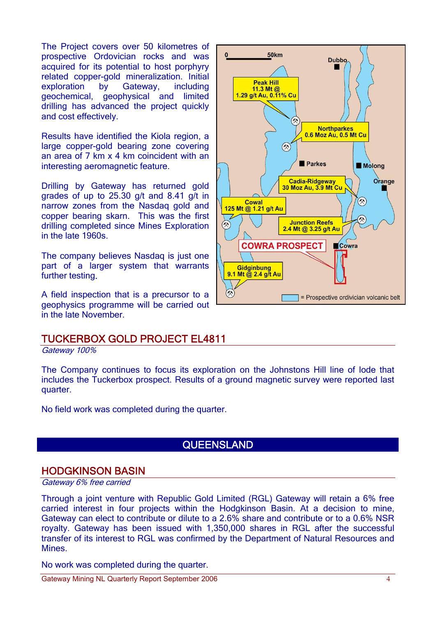The Project covers over 50 kilometres of prospective Ordovician rocks and was acquired for its potential to host porphyry related copper-gold mineralization. Initial exploration by Gateway, including geochemical, geophysical and limited drilling has advanced the project quickly and cost effectively.

Results have identified the Kiola region, a large copper-gold bearing zone covering an area of 7 km x 4 km coincident with an interesting aeromagnetic feature.

Drilling by Gateway has returned gold grades of up to 25.30 g/t and 8.41 g/t in narrow zones from the Nasdaq gold and copper bearing skarn. This was the first drilling completed since Mines Exploration in the late 1960s.

The company believes Nasdaq is just one part of a larger system that warrants further testing.

A field inspection that is a precursor to a geophysics programme will be carried out in the late November.



Gateway 100%

The Company continues to focus its exploration on the Johnstons Hill line of lode that includes the Tuckerbox prospect. Results of a ground magnetic survey were reported last quarter.

No field work was completed during the quarter.

### **QUEENSLAND**

#### HODGKINSON BASIN

Gateway 6% free carried

Through a joint venture with Republic Gold Limited (RGL) Gateway will retain a 6% free carried interest in four projects within the Hodgkinson Basin. At a decision to mine, Gateway can elect to contribute or dilute to a 2.6% share and contribute or to a 0.6% NSR royalty. Gateway has been issued with 1,350,000 shares in RGL after the successful transfer of its interest to RGL was confirmed by the Department of Natural Resources and Mines.

No work was completed during the quarter.

Gateway Mining NL Quarterly Report September 2006 44

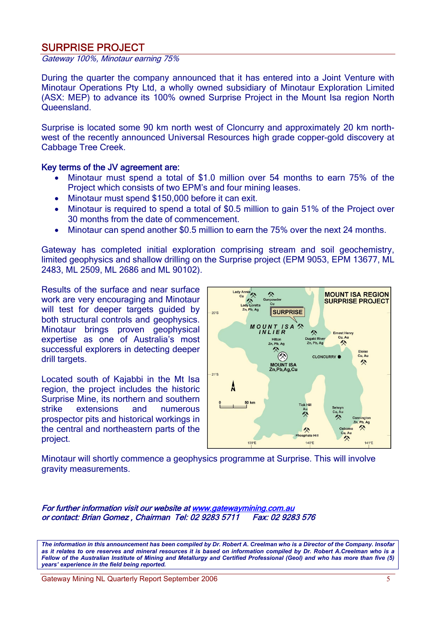### SURPRISE PROJECT

Gateway 100%, Minotaur earning 75%

During the quarter the company announced that it has entered into a Joint Venture with Minotaur Operations Pty Ltd, a wholly owned subsidiary of Minotaur Exploration Limited (ASX: MEP) to advance its 100% owned Surprise Project in the Mount Isa region North **Queensland** 

Surprise is located some 90 km north west of Cloncurry and approximately 20 km northwest of the recently announced Universal Resources high grade copper-gold discovery at Cabbage Tree Creek.

#### Key terms of the JV agreement are:

- Minotaur must spend a total of \$1.0 million over 54 months to earn 75% of the Project which consists of two EPM's and four mining leases.
- Minotaur must spend \$150,000 before it can exit.
- Minotaur is required to spend a total of \$0.5 million to gain 51% of the Project over 30 months from the date of commencement.
- Minotaur can spend another \$0.5 million to earn the 75% over the next 24 months.

Gateway has completed initial exploration comprising stream and soil geochemistry, limited geophysics and shallow drilling on the Surprise project (EPM 9053, EPM 13677, ML 2483, ML 2509, ML 2686 and ML 90102).

Results of the surface and near surface work are very encouraging and Minotaur will test for deeper targets guided by both structural controls and geophysics. Minotaur brings proven geophysical expertise as one of Australia's most successful explorers in detecting deeper drill targets.

Located south of Kajabbi in the Mt Isa region, the project includes the historic Surprise Mine, its northern and southern strike extensions and numerous prospector pits and historical workings in the central and northeastern parts of the project.



Minotaur will shortly commence a geophysics programme at Surprise. This will involve gravity measurements.

For further information visit our website at www.gatewaymining.com.au or contact: Brian Gomez , Chairman Tel: 02 9283 5711 Fax: 02 9283 576

*The information in this announcement has been compiled by Dr. Robert A. Creelman who is a Director of the Company. Insofar as it relates to ore reserves and mineral resources it is based on information compiled by Dr. Robert A.Creelman who is a Fellow of the Australian Institute of Mining and Metallurgy and Certified Professional (Geol) and who has more than five (5) years' experience in the field being reported.*

Gateway Mining NL Quarterly Report September 2006 5